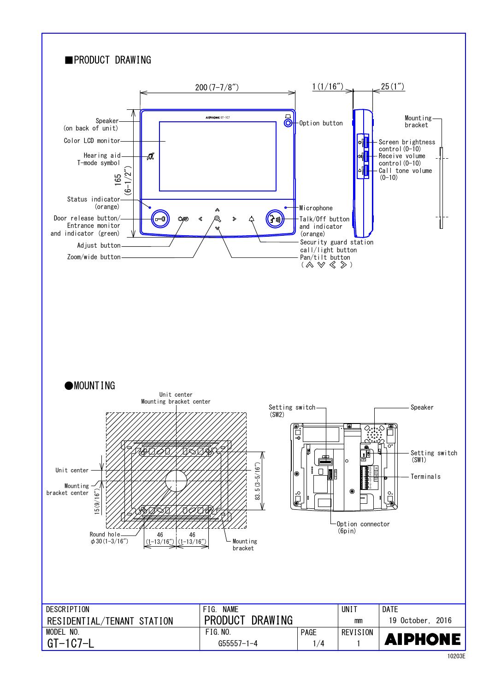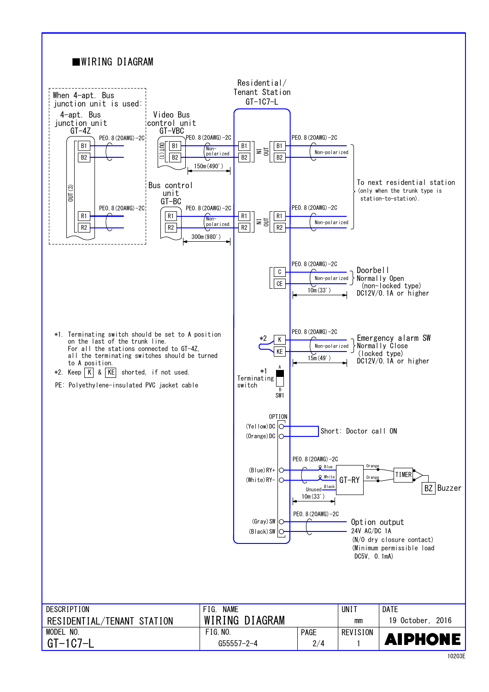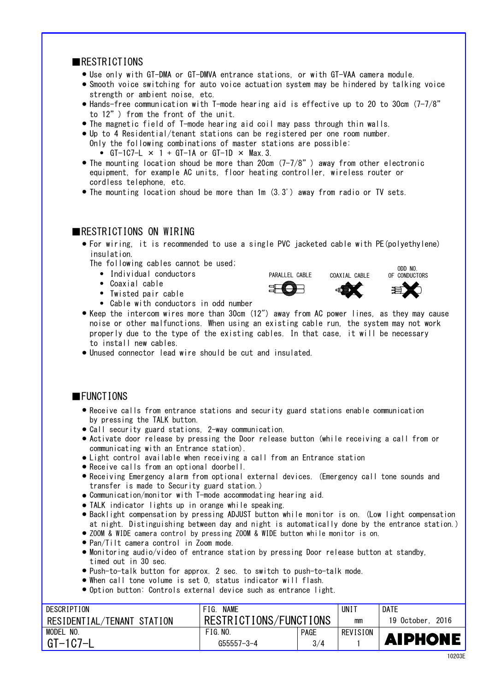### ■RESTRICTIONS

- Use only with GT-DMA or GT-DMVA entrance stations, or with GT-VAA camera module. ●
- Smooth voice switching for auto voice actuation system may be hindered by talking voice strength or ambient noise, etc.
- to 12") from the front of the unit. ● Hands-free communication with T-mode hearing aid is effective up to 20 to 30cm (7-7/8"
- The magnetic field of T-mode hearing aid coil may pass through thin walls.
- Up to 4 Residential/tenant stations can be registered per one room number. Only the following combinations of master stations are possible:
	- GT-1C7-L  $\times$  1 + GT-1A or GT-1D  $\times$  Max. 3.
- The mounting location shoud be more than 20cm  $(7-7/8)$  away from other electronic cordless telephone, etc. equipment, for example AC units, floor heating controller, wireless router or
- The mounting location shoud be more than 1m (3.3') away from radio or TV sets.

#### **EXPENSIVE CONSTRUCTIONS ON WIRING**

● For wiring, it is recommended to use a single PVC jacketed cable with PE(polyethylene) insulation.

The following cables cannot be used;  $\sum_{n=0}^{\infty}$  on  $\sum_{n=0}^{\infty}$  on  $\sum_{n=0}^{\infty}$ 

- Individual conductors
- ・ Coaxial cable ●
- ・ Twisted pair cable ●
- Cable with conductors in odd number
- Keep the intercom wires more than 30cm (12″) away from AC power lines, as they may cause noise or other malfunctions. When using an existing cable run, the system may not work properly due to the type of the existing cables. In that case, it will be necessary to install new cables.
- Unused connector lead wire should be cut and insulated.

#### ■FUNCTIONS

- by pressing the TALK button. ● Receive calls from entrance stations and security guard stations enable communication
- Call security guard stations, 2-way communication. ●
- Activate door release by pressing the Door release button (while receiving a call from or communicating with an Entrance station).
- Light control available when receiving a call from an Entrance station
- Receive calls from an optional doorbell. ●
- transfer is made to Security guard station.) Receiving Emergency alarm from optional external devices. (Emergency call tone sounds and ●
- Communication/monitor with T-mode accommodating hearing aid.
- TALK indicator lights up in orange while speaking. ●
- Backlight compensation by pressing ADJUST button while monitor is on. (Low light compensation at night. Distinguishing between day and night is automatically done by the entrance station.)
- ZOOM & WIDE camera control by pressing ZOOM & WIDE button while monitor is on.
- Pan/Tilt camera control in Zoom mode. ●
- Monitoring audio/video of entrance station by pressing Door release button at standby, timed out in 30 sec.
- Push-to-talk button for approx. 2 sec. to switch to push-to-talk mode.
- When call tone volume is set 0, status indicator will flash. ●
- Option button: Controls external device such as entrance light.

| DESCRIPTION                | <b>NAME</b><br>FIG.    |             | UNI      | <b>DATE</b>         |
|----------------------------|------------------------|-------------|----------|---------------------|
| RESIDENTIAL/TENANT STATION | RESTRICTIONS/FUNCTIONS |             | mm       | 2016<br>19 October. |
| <b>MODEL</b><br>NO.        | FIG.NO.                | <b>PAGE</b> | REVISION |                     |
| GT-1C7-L                   | G55557-3-4             | 3/4         |          | <b>AIPHONE</b>      |